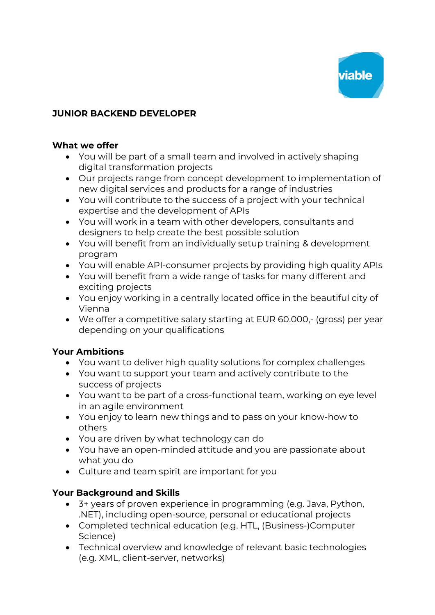

# **JUNIOR BACKEND DEVELOPER**

#### **What we offer**

- You will be part of a small team and involved in actively shaping digital transformation projects
- Our projects range from concept development to implementation of new digital services and products for a range of industries
- You will contribute to the success of a project with your technical expertise and the development of APIs
- You will work in a team with other developers, consultants and designers to help create the best possible solution
- You will benefit from an individually setup training & development program
- You will enable API-consumer projects by providing high quality APIs
- You will benefit from a wide range of tasks for many different and exciting projects
- You enjoy working in a centrally located office in the beautiful city of Vienna
- We offer a competitive salary starting at EUR 60.000,- (gross) per year depending on your qualifications

#### **Your Ambitions**

- You want to deliver high quality solutions for complex challenges
- You want to support your team and actively contribute to the success of projects
- You want to be part of a cross-functional team, working on eye level in an agile environment
- You enjoy to learn new things and to pass on your know-how to others
- You are driven by what technology can do
- You have an open-minded attitude and you are passionate about what you do
- Culture and team spirit are important for you

# **Your Background and Skills**

- 3+ years of proven experience in programming (e.g. Java, Python, .NET), including open-source, personal or educational projects
- Completed technical education (e.g. HTL, (Business-)Computer Science)
- Technical overview and knowledge of relevant basic technologies (e.g. XML, client-server, networks)